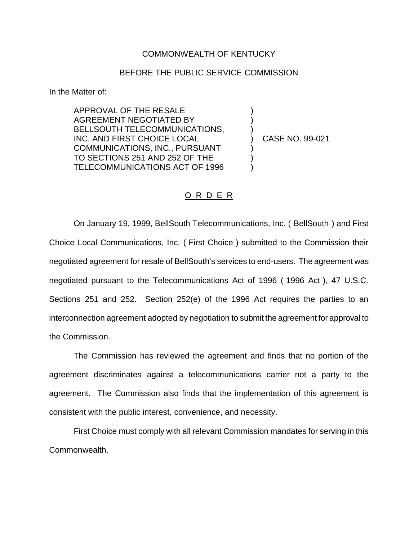## COMMONWEALTH OF KENTUCKY

## BEFORE THE PUBLIC SERVICE COMMISSION

In the Matter of:

APPROVAL OF THE RESALE AGREEMENT NEGOTIATED BY BELLSOUTH TELECOMMUNICATIONS, INC. AND FIRST CHOICE LOCAL COMMUNICATIONS, INC., PURSUANT TO SECTIONS 251 AND 252 OF THE TELECOMMUNICATIONS ACT OF 1996

) CASE NO. 99-021

) ) )

) ) )

## O R D E R

On January 19, 1999, BellSouth Telecommunications, Inc. ( BellSouth ) and First Choice Local Communications, Inc. ( First Choice ) submitted to the Commission their negotiated agreement for resale of BellSouth's services to end-users. The agreement was negotiated pursuant to the Telecommunications Act of 1996 ( 1996 Act ), 47 U.S.C. Sections 251 and 252. Section 252(e) of the 1996 Act requires the parties to an interconnection agreement adopted by negotiation to submit the agreement for approval to the Commission.

The Commission has reviewed the agreement and finds that no portion of the agreement discriminates against a telecommunications carrier not a party to the agreement. The Commission also finds that the implementation of this agreement is consistent with the public interest, convenience, and necessity.

First Choice must comply with all relevant Commission mandates for serving in this Commonwealth.